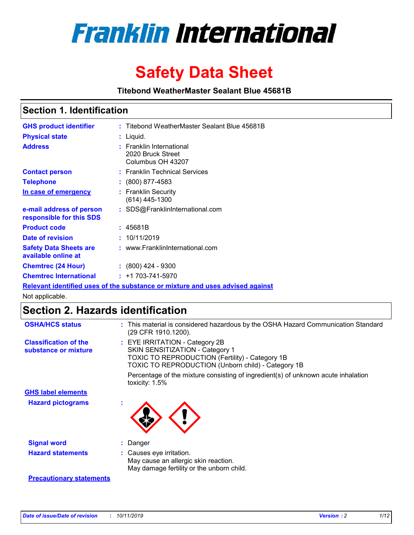

# **Safety Data Sheet**

**Titebond WeatherMaster Sealant Blue 45681B**

### **Section 1. Identification**

| <b>GHS product identifier</b>                                                 |  | : Titebond WeatherMaster Sealant Blue 45681B                       |  |  |  |
|-------------------------------------------------------------------------------|--|--------------------------------------------------------------------|--|--|--|
| <b>Physical state</b>                                                         |  | : Liquid.                                                          |  |  |  |
| <b>Address</b>                                                                |  | : Franklin International<br>2020 Bruck Street<br>Columbus OH 43207 |  |  |  |
| <b>Contact person</b>                                                         |  | : Franklin Technical Services                                      |  |  |  |
| <b>Telephone</b>                                                              |  | $\colon$ (800) 877-4583                                            |  |  |  |
| In case of emergency                                                          |  | : Franklin Security<br>(614) 445-1300                              |  |  |  |
| e-mail address of person<br>responsible for this SDS                          |  | : SDS@FranklinInternational.com                                    |  |  |  |
| <b>Product code</b>                                                           |  | : 45681B                                                           |  |  |  |
| Date of revision                                                              |  | : 10/11/2019                                                       |  |  |  |
| <b>Safety Data Sheets are</b><br>available online at                          |  | : www.FranklinInternational.com                                    |  |  |  |
| <b>Chemtrec (24 Hour)</b>                                                     |  | $\div$ (800) 424 - 9300                                            |  |  |  |
| <b>Chemtrec International</b>                                                 |  | $: +1703 - 741 - 5970$                                             |  |  |  |
| Relevant identified uses of the substance or mixture and uses advised against |  |                                                                    |  |  |  |

Not applicable.

## **Section 2. Hazards identification**

| <b>OSHA/HCS status</b>                               | : This material is considered hazardous by the OSHA Hazard Communication Standard<br>(29 CFR 1910.1200).                                                                                 |
|------------------------------------------------------|------------------------------------------------------------------------------------------------------------------------------------------------------------------------------------------|
| <b>Classification of the</b><br>substance or mixture | : EYE IRRITATION - Category 2B<br>SKIN SENSITIZATION - Category 1<br><b>TOXIC TO REPRODUCTION (Fertility) - Category 1B</b><br><b>TOXIC TO REPRODUCTION (Unborn child) - Category 1B</b> |
|                                                      | Percentage of the mixture consisting of ingredient(s) of unknown acute inhalation<br>toxicity: $1.5\%$                                                                                   |
| <b>GHS label elements</b>                            |                                                                                                                                                                                          |
| <b>Hazard pictograms</b>                             |                                                                                                                                                                                          |
| <b>Signal word</b>                                   | : Danger                                                                                                                                                                                 |
| <b>Hazard statements</b>                             | : Causes eye irritation.<br>May cause an allergic skin reaction.<br>May damage fertility or the unborn child.                                                                            |
| <b>Precautionary statements</b>                      |                                                                                                                                                                                          |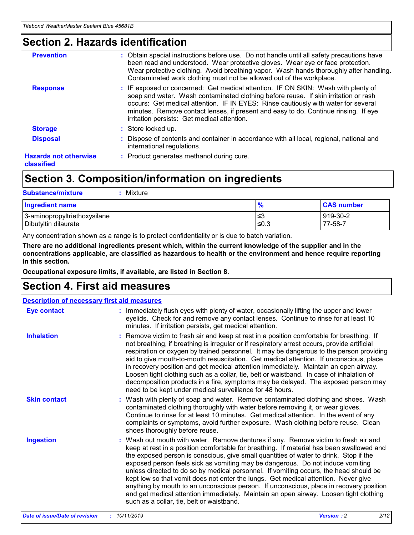### **Section 2. Hazards identification**

| <b>Prevention</b>                          | : Obtain special instructions before use. Do not handle until all safety precautions have<br>been read and understood. Wear protective gloves. Wear eye or face protection.<br>Wear protective clothing. Avoid breathing vapor. Wash hands thoroughly after handling.<br>Contaminated work clothing must not be allowed out of the workplace.                                                        |
|--------------------------------------------|------------------------------------------------------------------------------------------------------------------------------------------------------------------------------------------------------------------------------------------------------------------------------------------------------------------------------------------------------------------------------------------------------|
| <b>Response</b>                            | : IF exposed or concerned: Get medical attention. IF ON SKIN: Wash with plenty of<br>soap and water. Wash contaminated clothing before reuse. If skin irritation or rash<br>occurs: Get medical attention. IF IN EYES: Rinse cautiously with water for several<br>minutes. Remove contact lenses, if present and easy to do. Continue rinsing. If eye<br>irritation persists: Get medical attention. |
| <b>Storage</b>                             | : Store locked up.                                                                                                                                                                                                                                                                                                                                                                                   |
| <b>Disposal</b>                            | : Dispose of contents and container in accordance with all local, regional, national and<br>international regulations.                                                                                                                                                                                                                                                                               |
| <b>Hazards not otherwise</b><br>classified | : Product generates methanol during cure.                                                                                                                                                                                                                                                                                                                                                            |
|                                            |                                                                                                                                                                                                                                                                                                                                                                                                      |

### **Section 3. Composition/information on ingredients**

| <b>Substance/mixture</b><br>Mixture                  |                   |                     |
|------------------------------------------------------|-------------------|---------------------|
| <b>Ingredient name</b>                               | $\frac{9}{6}$     | <b>CAS number</b>   |
| 3-aminopropyltriethoxysilane<br>Dibutyltin dilaurate | l≤3<br>$\leq 0.3$ | 919-30-2<br>77-58-7 |

Any concentration shown as a range is to protect confidentiality or is due to batch variation.

**There are no additional ingredients present which, within the current knowledge of the supplier and in the concentrations applicable, are classified as hazardous to health or the environment and hence require reporting in this section.**

**Occupational exposure limits, if available, are listed in Section 8.**

### **Section 4. First aid measures**

| <b>Description of necessary first aid measures</b> |                                                                                                                                                                                                                                                                                                                                                                                                                                                                                                                                                                                                                                                                                                                                                                           |  |  |  |
|----------------------------------------------------|---------------------------------------------------------------------------------------------------------------------------------------------------------------------------------------------------------------------------------------------------------------------------------------------------------------------------------------------------------------------------------------------------------------------------------------------------------------------------------------------------------------------------------------------------------------------------------------------------------------------------------------------------------------------------------------------------------------------------------------------------------------------------|--|--|--|
| <b>Eye contact</b>                                 | : Immediately flush eyes with plenty of water, occasionally lifting the upper and lower<br>eyelids. Check for and remove any contact lenses. Continue to rinse for at least 10<br>minutes. If irritation persists, get medical attention.                                                                                                                                                                                                                                                                                                                                                                                                                                                                                                                                 |  |  |  |
| <b>Inhalation</b>                                  | : Remove victim to fresh air and keep at rest in a position comfortable for breathing. If<br>not breathing, if breathing is irregular or if respiratory arrest occurs, provide artificial<br>respiration or oxygen by trained personnel. It may be dangerous to the person providing<br>aid to give mouth-to-mouth resuscitation. Get medical attention. If unconscious, place<br>in recovery position and get medical attention immediately. Maintain an open airway.<br>Loosen tight clothing such as a collar, tie, belt or waistband. In case of inhalation of<br>decomposition products in a fire, symptoms may be delayed. The exposed person may<br>need to be kept under medical surveillance for 48 hours.                                                       |  |  |  |
| <b>Skin contact</b>                                | : Wash with plenty of soap and water. Remove contaminated clothing and shoes. Wash<br>contaminated clothing thoroughly with water before removing it, or wear gloves.<br>Continue to rinse for at least 10 minutes. Get medical attention. In the event of any<br>complaints or symptoms, avoid further exposure. Wash clothing before reuse. Clean<br>shoes thoroughly before reuse.                                                                                                                                                                                                                                                                                                                                                                                     |  |  |  |
| <b>Ingestion</b>                                   | : Wash out mouth with water. Remove dentures if any. Remove victim to fresh air and<br>keep at rest in a position comfortable for breathing. If material has been swallowed and<br>the exposed person is conscious, give small quantities of water to drink. Stop if the<br>exposed person feels sick as vomiting may be dangerous. Do not induce vomiting<br>unless directed to do so by medical personnel. If vomiting occurs, the head should be<br>kept low so that vomit does not enter the lungs. Get medical attention. Never give<br>anything by mouth to an unconscious person. If unconscious, place in recovery position<br>and get medical attention immediately. Maintain an open airway. Loosen tight clothing<br>such as a collar, tie, belt or waistband. |  |  |  |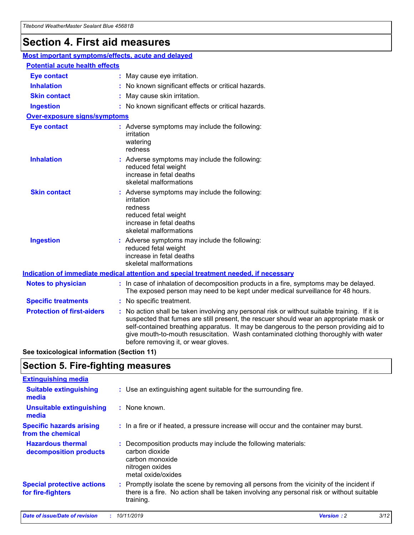## **Section 4. First aid measures**

| Most important symptoms/effects, acute and delayed |  |                                                                                                                                                                                                                                                                                                                                                                                                                 |  |
|----------------------------------------------------|--|-----------------------------------------------------------------------------------------------------------------------------------------------------------------------------------------------------------------------------------------------------------------------------------------------------------------------------------------------------------------------------------------------------------------|--|
| <b>Potential acute health effects</b>              |  |                                                                                                                                                                                                                                                                                                                                                                                                                 |  |
| <b>Eye contact</b>                                 |  | : May cause eye irritation.                                                                                                                                                                                                                                                                                                                                                                                     |  |
| <b>Inhalation</b>                                  |  | : No known significant effects or critical hazards.                                                                                                                                                                                                                                                                                                                                                             |  |
| <b>Skin contact</b>                                |  | : May cause skin irritation.                                                                                                                                                                                                                                                                                                                                                                                    |  |
| <b>Ingestion</b>                                   |  | : No known significant effects or critical hazards.                                                                                                                                                                                                                                                                                                                                                             |  |
| Over-exposure signs/symptoms                       |  |                                                                                                                                                                                                                                                                                                                                                                                                                 |  |
| <b>Eye contact</b>                                 |  | : Adverse symptoms may include the following:<br>irritation<br>watering<br>redness                                                                                                                                                                                                                                                                                                                              |  |
| <b>Inhalation</b>                                  |  | : Adverse symptoms may include the following:<br>reduced fetal weight<br>increase in fetal deaths<br>skeletal malformations                                                                                                                                                                                                                                                                                     |  |
| <b>Skin contact</b>                                |  | : Adverse symptoms may include the following:<br>irritation<br>redness<br>reduced fetal weight<br>increase in fetal deaths<br>skeletal malformations                                                                                                                                                                                                                                                            |  |
| <b>Ingestion</b>                                   |  | : Adverse symptoms may include the following:<br>reduced fetal weight<br>increase in fetal deaths<br>skeletal malformations                                                                                                                                                                                                                                                                                     |  |
|                                                    |  | <b>Indication of immediate medical attention and special treatment needed, if necessary</b>                                                                                                                                                                                                                                                                                                                     |  |
| <b>Notes to physician</b>                          |  | : In case of inhalation of decomposition products in a fire, symptoms may be delayed.<br>The exposed person may need to be kept under medical surveillance for 48 hours.                                                                                                                                                                                                                                        |  |
| <b>Specific treatments</b>                         |  | : No specific treatment.                                                                                                                                                                                                                                                                                                                                                                                        |  |
| <b>Protection of first-aiders</b>                  |  | : No action shall be taken involving any personal risk or without suitable training. If it is<br>suspected that fumes are still present, the rescuer should wear an appropriate mask or<br>self-contained breathing apparatus. It may be dangerous to the person providing aid to<br>give mouth-to-mouth resuscitation. Wash contaminated clothing thoroughly with water<br>before removing it, or wear gloves. |  |

**See toxicological information (Section 11)**

### **Section 5. Fire-fighting measures**

| <b>Extinguishing media</b>                             |                                                                                                                                                                                                     |
|--------------------------------------------------------|-----------------------------------------------------------------------------------------------------------------------------------------------------------------------------------------------------|
| <b>Suitable extinguishing</b><br>media                 | : Use an extinguishing agent suitable for the surrounding fire.                                                                                                                                     |
| <b>Unsuitable extinguishing</b><br>media               | : None known.                                                                                                                                                                                       |
| <b>Specific hazards arising</b><br>from the chemical   | : In a fire or if heated, a pressure increase will occur and the container may burst.                                                                                                               |
| <b>Hazardous thermal</b><br>decomposition products     | : Decomposition products may include the following materials:<br>carbon dioxide<br>carbon monoxide<br>nitrogen oxides<br>metal oxide/oxides                                                         |
| <b>Special protective actions</b><br>for fire-fighters | : Promptly isolate the scene by removing all persons from the vicinity of the incident if<br>there is a fire. No action shall be taken involving any personal risk or without suitable<br>training. |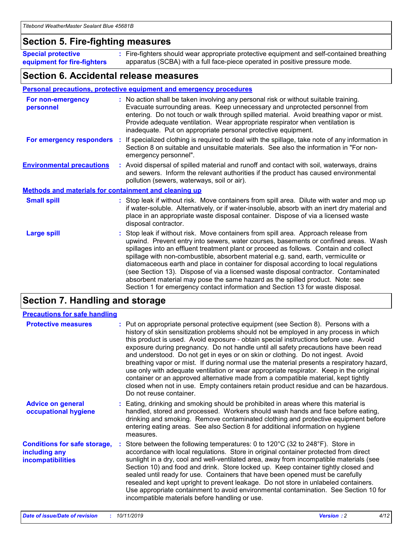### **Section 5. Fire-fighting measures**

**Special protective equipment for fire-fighters** Fire-fighters should wear appropriate protective equipment and self-contained breathing **:** apparatus (SCBA) with a full face-piece operated in positive pressure mode.

### **Section 6. Accidental release measures**

#### **Personal precautions, protective equipment and emergency procedures**

| For non-emergency<br>personnel                               |  | : No action shall be taken involving any personal risk or without suitable training.<br>Evacuate surrounding areas. Keep unnecessary and unprotected personnel from<br>entering. Do not touch or walk through spilled material. Avoid breathing vapor or mist.<br>Provide adequate ventilation. Wear appropriate respirator when ventilation is<br>inadequate. Put on appropriate personal protective equipment.                                                                                                                                                                                                                                                                                             |  |  |
|--------------------------------------------------------------|--|--------------------------------------------------------------------------------------------------------------------------------------------------------------------------------------------------------------------------------------------------------------------------------------------------------------------------------------------------------------------------------------------------------------------------------------------------------------------------------------------------------------------------------------------------------------------------------------------------------------------------------------------------------------------------------------------------------------|--|--|
|                                                              |  | For emergency responders : If specialized clothing is required to deal with the spillage, take note of any information in<br>Section 8 on suitable and unsuitable materials. See also the information in "For non-<br>emergency personnel".                                                                                                                                                                                                                                                                                                                                                                                                                                                                  |  |  |
| <b>Environmental precautions</b>                             |  | : Avoid dispersal of spilled material and runoff and contact with soil, waterways, drains<br>and sewers. Inform the relevant authorities if the product has caused environmental<br>pollution (sewers, waterways, soil or air).                                                                                                                                                                                                                                                                                                                                                                                                                                                                              |  |  |
| <b>Methods and materials for containment and cleaning up</b> |  |                                                                                                                                                                                                                                                                                                                                                                                                                                                                                                                                                                                                                                                                                                              |  |  |
| <b>Small spill</b>                                           |  | : Stop leak if without risk. Move containers from spill area. Dilute with water and mop up<br>if water-soluble. Alternatively, or if water-insoluble, absorb with an inert dry material and<br>place in an appropriate waste disposal container. Dispose of via a licensed waste<br>disposal contractor.                                                                                                                                                                                                                                                                                                                                                                                                     |  |  |
| <b>Large spill</b>                                           |  | : Stop leak if without risk. Move containers from spill area. Approach release from<br>upwind. Prevent entry into sewers, water courses, basements or confined areas. Wash<br>spillages into an effluent treatment plant or proceed as follows. Contain and collect<br>spillage with non-combustible, absorbent material e.g. sand, earth, vermiculite or<br>diatomaceous earth and place in container for disposal according to local regulations<br>(see Section 13). Dispose of via a licensed waste disposal contractor. Contaminated<br>absorbent material may pose the same hazard as the spilled product. Note: see<br>Section 1 for emergency contact information and Section 13 for waste disposal. |  |  |

### **Section 7. Handling and storage**

| <b>Precautions for safe handling</b>                                             |                                                                                                                                                                                                                                                                                                                                                                                                                                                                                                                                                                                                                                                                                                                                                                                                                                                  |
|----------------------------------------------------------------------------------|--------------------------------------------------------------------------------------------------------------------------------------------------------------------------------------------------------------------------------------------------------------------------------------------------------------------------------------------------------------------------------------------------------------------------------------------------------------------------------------------------------------------------------------------------------------------------------------------------------------------------------------------------------------------------------------------------------------------------------------------------------------------------------------------------------------------------------------------------|
| <b>Protective measures</b>                                                       | : Put on appropriate personal protective equipment (see Section 8). Persons with a<br>history of skin sensitization problems should not be employed in any process in which<br>this product is used. Avoid exposure - obtain special instructions before use. Avoid<br>exposure during pregnancy. Do not handle until all safety precautions have been read<br>and understood. Do not get in eyes or on skin or clothing. Do not ingest. Avoid<br>breathing vapor or mist. If during normal use the material presents a respiratory hazard,<br>use only with adequate ventilation or wear appropriate respirator. Keep in the original<br>container or an approved alternative made from a compatible material, kept tightly<br>closed when not in use. Empty containers retain product residue and can be hazardous.<br>Do not reuse container. |
| <b>Advice on general</b><br>occupational hygiene                                 | : Eating, drinking and smoking should be prohibited in areas where this material is<br>handled, stored and processed. Workers should wash hands and face before eating,<br>drinking and smoking. Remove contaminated clothing and protective equipment before<br>entering eating areas. See also Section 8 for additional information on hygiene<br>measures.                                                                                                                                                                                                                                                                                                                                                                                                                                                                                    |
| <b>Conditions for safe storage,</b><br>including any<br><b>incompatibilities</b> | Store between the following temperatures: 0 to 120 $^{\circ}$ C (32 to 248 $^{\circ}$ F). Store in<br>accordance with local regulations. Store in original container protected from direct<br>sunlight in a dry, cool and well-ventilated area, away from incompatible materials (see<br>Section 10) and food and drink. Store locked up. Keep container tightly closed and<br>sealed until ready for use. Containers that have been opened must be carefully<br>resealed and kept upright to prevent leakage. Do not store in unlabeled containers.<br>Use appropriate containment to avoid environmental contamination. See Section 10 for<br>incompatible materials before handling or use.                                                                                                                                                   |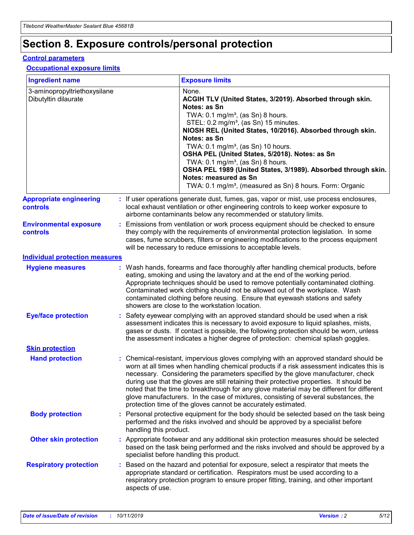## **Section 8. Exposure controls/personal protection**

#### **Control parameters**

#### **Occupational exposure limits**

| <b>Ingredient name</b>                               |    |                                          | <b>Exposure limits</b>                                                                                                                                                                                                                                                                                                                                                                                                                                                                                                                                                                                                 |
|------------------------------------------------------|----|------------------------------------------|------------------------------------------------------------------------------------------------------------------------------------------------------------------------------------------------------------------------------------------------------------------------------------------------------------------------------------------------------------------------------------------------------------------------------------------------------------------------------------------------------------------------------------------------------------------------------------------------------------------------|
| 3-aminopropyltriethoxysilane<br>Dibutyltin dilaurate |    |                                          | None.<br>ACGIH TLV (United States, 3/2019). Absorbed through skin.<br>Notes: as Sn<br>TWA: 0.1 mg/m <sup>3</sup> , (as Sn) 8 hours.<br>STEL: 0.2 mg/m <sup>3</sup> , (as Sn) 15 minutes.<br>NIOSH REL (United States, 10/2016). Absorbed through skin.<br>Notes: as Sn<br>TWA: 0.1 mg/m <sup>3</sup> , (as Sn) 10 hours.<br>OSHA PEL (United States, 5/2018). Notes: as Sn<br>TWA: $0.1 \text{ mg/m}^3$ , (as Sn) 8 hours.<br>OSHA PEL 1989 (United States, 3/1989). Absorbed through skin.<br>Notes: measured as Sn<br>TWA: 0.1 mg/m <sup>3</sup> , (measured as Sn) 8 hours. Form: Organic                           |
| <b>Appropriate engineering</b><br>controls           |    |                                          | : If user operations generate dust, fumes, gas, vapor or mist, use process enclosures,<br>local exhaust ventilation or other engineering controls to keep worker exposure to<br>airborne contaminants below any recommended or statutory limits.                                                                                                                                                                                                                                                                                                                                                                       |
| <b>Environmental exposure</b><br><b>controls</b>     |    |                                          | Emissions from ventilation or work process equipment should be checked to ensure<br>they comply with the requirements of environmental protection legislation. In some<br>cases, fume scrubbers, filters or engineering modifications to the process equipment<br>will be necessary to reduce emissions to acceptable levels.                                                                                                                                                                                                                                                                                          |
| <b>Individual protection measures</b>                |    |                                          |                                                                                                                                                                                                                                                                                                                                                                                                                                                                                                                                                                                                                        |
| <b>Hygiene measures</b>                              |    |                                          | : Wash hands, forearms and face thoroughly after handling chemical products, before<br>eating, smoking and using the lavatory and at the end of the working period.<br>Appropriate techniques should be used to remove potentially contaminated clothing.<br>Contaminated work clothing should not be allowed out of the workplace. Wash<br>contaminated clothing before reusing. Ensure that eyewash stations and safety<br>showers are close to the workstation location.                                                                                                                                            |
| <b>Eye/face protection</b>                           |    |                                          | : Safety eyewear complying with an approved standard should be used when a risk<br>assessment indicates this is necessary to avoid exposure to liquid splashes, mists,<br>gases or dusts. If contact is possible, the following protection should be worn, unless<br>the assessment indicates a higher degree of protection: chemical splash goggles.                                                                                                                                                                                                                                                                  |
| <b>Skin protection</b>                               |    |                                          |                                                                                                                                                                                                                                                                                                                                                                                                                                                                                                                                                                                                                        |
| <b>Hand protection</b>                               |    |                                          | : Chemical-resistant, impervious gloves complying with an approved standard should be<br>worn at all times when handling chemical products if a risk assessment indicates this is<br>necessary. Considering the parameters specified by the glove manufacturer, check<br>during use that the gloves are still retaining their protective properties. It should be<br>noted that the time to breakthrough for any glove material may be different for different<br>glove manufacturers. In the case of mixtures, consisting of several substances, the<br>protection time of the gloves cannot be accurately estimated. |
| <b>Body protection</b>                               |    | handling this product.                   | Personal protective equipment for the body should be selected based on the task being<br>performed and the risks involved and should be approved by a specialist before                                                                                                                                                                                                                                                                                                                                                                                                                                                |
| <b>Other skin protection</b>                         |    | specialist before handling this product. | : Appropriate footwear and any additional skin protection measures should be selected<br>based on the task being performed and the risks involved and should be approved by a                                                                                                                                                                                                                                                                                                                                                                                                                                          |
| <b>Respiratory protection</b>                        | ÷. | aspects of use.                          | Based on the hazard and potential for exposure, select a respirator that meets the<br>appropriate standard or certification. Respirators must be used according to a<br>respiratory protection program to ensure proper fitting, training, and other important                                                                                                                                                                                                                                                                                                                                                         |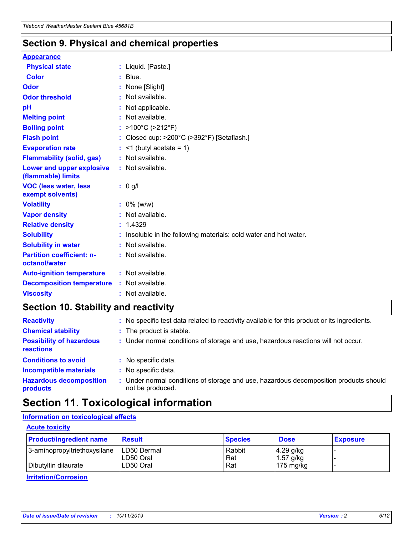### **Section 9. Physical and chemical properties**

#### **Appearance**

| <b>Physical state</b>                             | : Liquid. [Paste.]                                              |
|---------------------------------------------------|-----------------------------------------------------------------|
| <b>Color</b>                                      | $:$ Blue.                                                       |
| Odor                                              | : None [Slight]                                                 |
| <b>Odor threshold</b>                             | $:$ Not available.                                              |
| рH                                                | : Not applicable.                                               |
| <b>Melting point</b>                              | : Not available.                                                |
| <b>Boiling point</b>                              | : >100°C (>212°F)                                               |
| <b>Flash point</b>                                | Closed cup: >200°C (>392°F) [Setaflash.]                        |
| <b>Evaporation rate</b>                           | $:$ <1 (butyl acetate = 1)                                      |
| <b>Flammability (solid, gas)</b>                  | : Not available.                                                |
| Lower and upper explosive<br>(flammable) limits   | : Not available.                                                |
| <b>VOC (less water, less)</b><br>exempt solvents) | $: 0$ g/l                                                       |
| <b>Volatility</b>                                 | $: 0\%$ (w/w)                                                   |
| <b>Vapor density</b>                              | : Not available.                                                |
| <b>Relative density</b>                           | : 1.4329                                                        |
| <b>Solubility</b>                                 | Insoluble in the following materials: cold water and hot water. |
| <b>Solubility in water</b>                        | : Not available.                                                |
| <b>Partition coefficient: n-</b><br>octanol/water | $:$ Not available.                                              |
|                                                   |                                                                 |
| <b>Auto-ignition temperature</b>                  | : Not available.                                                |
| <b>Decomposition temperature</b>                  | : Not available.                                                |

### **Section 10. Stability and reactivity**

| <b>Reactivity</b>                            | : No specific test data related to reactivity available for this product or its ingredients.            |
|----------------------------------------------|---------------------------------------------------------------------------------------------------------|
| <b>Chemical stability</b>                    | : The product is stable.                                                                                |
| <b>Possibility of hazardous</b><br>reactions | : Under normal conditions of storage and use, hazardous reactions will not occur.                       |
| <b>Conditions to avoid</b>                   | : No specific data.                                                                                     |
| <b>Incompatible materials</b>                | : No specific data.                                                                                     |
| <b>Hazardous decomposition</b><br>products   | Under normal conditions of storage and use, hazardous decomposition products should<br>not be produced. |

### **Section 11. Toxicological information**

### **Information on toxicological effects**

#### **Acute toxicity**

| <b>Product/ingredient name</b> | <b>Result</b>           | <b>Species</b> | <b>Dose</b>                | <b>Exposure</b> |
|--------------------------------|-------------------------|----------------|----------------------------|-----------------|
| 3-aminopropyltriethoxysilane   | <b>ILD50 Dermal</b>     | Rabbit         | 4.29 g/kg                  |                 |
| Dibutyltin dilaurate           | ILD50 Oral<br>LD50 Oral | Rat<br>Rat     | $1.57$ g/kg<br>175 $mg/kg$ |                 |
|                                |                         |                |                            |                 |

**Irritation/Corrosion**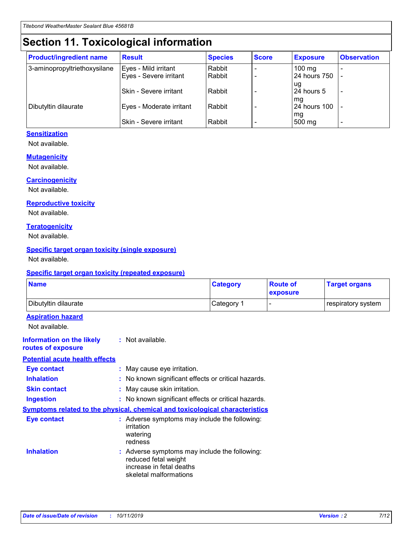## **Section 11. Toxicological information**

| <b>Product/ingredient name</b> | <b>Result</b>                 | <b>Species</b> | <b>Score</b> | <b>Exposure</b>    | <b>Observation</b> |
|--------------------------------|-------------------------------|----------------|--------------|--------------------|--------------------|
| 3-aminopropyltriethoxysilane   | Eyes - Mild irritant          | Rabbit         |              | $100 \text{ mg}$   |                    |
|                                | Eyes - Severe irritant        | Rabbit         |              | 24 hours 750       |                    |
|                                |                               |                |              | ug                 |                    |
|                                | <b>Skin - Severe irritant</b> | Rabbit         |              | 24 hours 5         | -                  |
| Dibutyltin dilaurate           | Eyes - Moderate irritant      | Rabbit         |              | mq<br>24 hours 100 |                    |
|                                |                               |                |              | mg                 |                    |
|                                | Skin - Severe irritant        | Rabbit         |              | 500 mg             |                    |

#### **Sensitization**

Not available.

#### **Mutagenicity**

Not available.

#### **Carcinogenicity**

Not available.

#### **Reproductive toxicity**

Not available.

#### **Teratogenicity**

Not available.

#### **Specific target organ toxicity (single exposure)**

Not available.

#### **Specific target organ toxicity (repeated exposure)**

| <b>Name</b>                                                                         |                                                                            | <b>Category</b>                                     | <b>Route of</b><br>exposure | <b>Target organs</b> |
|-------------------------------------------------------------------------------------|----------------------------------------------------------------------------|-----------------------------------------------------|-----------------------------|----------------------|
| Dibutyltin dilaurate                                                                |                                                                            | Category 1                                          |                             | respiratory system   |
| <b>Aspiration hazard</b><br>Not available.                                          |                                                                            |                                                     |                             |                      |
| <b>Information on the likely</b><br>routes of exposure                              | : Not available.                                                           |                                                     |                             |                      |
| <b>Potential acute health effects</b>                                               |                                                                            |                                                     |                             |                      |
| <b>Eye contact</b>                                                                  | : May cause eye irritation.                                                |                                                     |                             |                      |
| <b>Inhalation</b>                                                                   |                                                                            | : No known significant effects or critical hazards. |                             |                      |
| <b>Skin contact</b>                                                                 | : May cause skin irritation.                                               |                                                     |                             |                      |
| <b>Ingestion</b>                                                                    |                                                                            | : No known significant effects or critical hazards. |                             |                      |
| <b>Symptoms related to the physical, chemical and toxicological characteristics</b> |                                                                            |                                                     |                             |                      |
| <b>Eye contact</b>                                                                  | irritation<br>watering<br>redness                                          | : Adverse symptoms may include the following:       |                             |                      |
| <b>Inhalation</b>                                                                   | reduced fetal weight<br>increase in fetal deaths<br>skeletal malformations | : Adverse symptoms may include the following:       |                             |                      |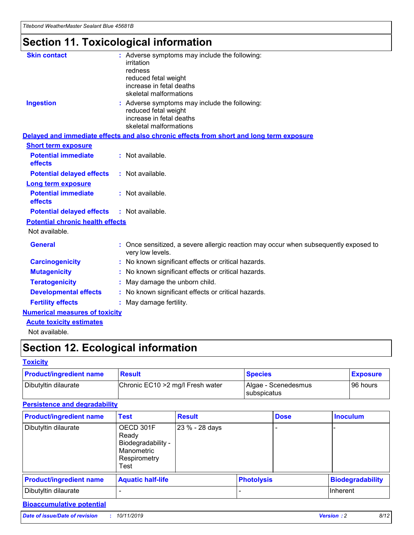## **Section 11. Toxicological information**

| <b>Skin contact</b>                     | : Adverse symptoms may include the following:<br>irritation<br>redness<br>reduced fetal weight<br>increase in fetal deaths<br>skeletal malformations |
|-----------------------------------------|------------------------------------------------------------------------------------------------------------------------------------------------------|
| <b>Ingestion</b>                        | : Adverse symptoms may include the following:<br>reduced fetal weight<br>increase in fetal deaths<br>skeletal malformations                          |
|                                         | Delayed and immediate effects and also chronic effects from short and long term exposure                                                             |
| <b>Short term exposure</b>              |                                                                                                                                                      |
| <b>Potential immediate</b><br>effects   | : Not available.                                                                                                                                     |
| <b>Potential delayed effects</b>        | : Not available.                                                                                                                                     |
| <b>Long term exposure</b>               |                                                                                                                                                      |
| <b>Potential immediate</b><br>effects   | : Not available.                                                                                                                                     |
| <b>Potential delayed effects</b>        | : Not available.                                                                                                                                     |
| <b>Potential chronic health effects</b> |                                                                                                                                                      |
| Not available.                          |                                                                                                                                                      |
| <b>General</b>                          | : Once sensitized, a severe allergic reaction may occur when subsequently exposed to<br>very low levels.                                             |
| <b>Carcinogenicity</b>                  | : No known significant effects or critical hazards.                                                                                                  |
| <b>Mutagenicity</b>                     | No known significant effects or critical hazards.                                                                                                    |
| <b>Teratogenicity</b>                   | May damage the unborn child.                                                                                                                         |
| <b>Developmental effects</b>            | No known significant effects or critical hazards.                                                                                                    |
| <b>Fertility effects</b>                | : May damage fertility.                                                                                                                              |
| <b>Numerical measures of toxicity</b>   |                                                                                                                                                      |
| <b>Acute toxicity estimates</b>         |                                                                                                                                                      |
|                                         |                                                                                                                                                      |

Not available.

## **Section 12. Ecological information**

#### **Toxicity**

| <b>Product/ingredient name</b> | <b>Result</b>                     | <b>Species</b>                       | <b>Exposure</b> |
|--------------------------------|-----------------------------------|--------------------------------------|-----------------|
| Dibutyltin dilaurate           | Chronic EC10 > 2 mg/l Fresh water | Algae - Scenedesmus<br>I subspicatus | l 96 hours i    |

### **Persistence and degradability**

| <b>Product/ingredient name</b> | <b>Test</b>                                                                    | <b>Result</b>  |                   | <b>Dose</b> | <b>Inoculum</b>         |
|--------------------------------|--------------------------------------------------------------------------------|----------------|-------------------|-------------|-------------------------|
| Dibutyltin dilaurate           | OECD 301F<br>Ready<br>Biodegradability -<br>Manometric<br>Respirometry<br>Test | 23 % - 28 days |                   |             |                         |
| <b>Product/ingredient name</b> | <b>Aquatic half-life</b>                                                       |                | <b>Photolysis</b> |             | <b>Biodegradability</b> |
| Dibutyltin dilaurate           |                                                                                |                |                   |             | Inherent                |

### **Bioaccumulative potential**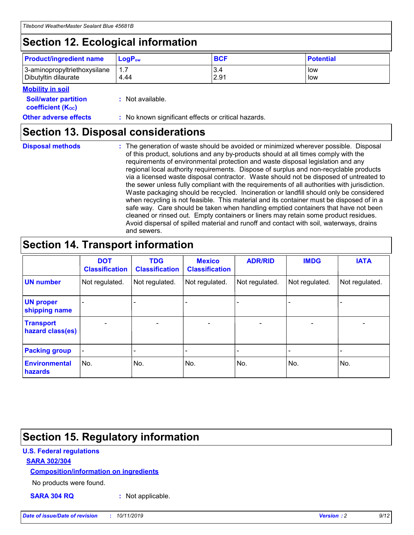## **Section 12. Ecological information**

| <b>Product/ingredient name</b>                       | ∣LoqP <sub>ow</sub> | <b>BCF</b>  | <b>Potential</b> |
|------------------------------------------------------|---------------------|-------------|------------------|
| 3-aminopropyltriethoxysilane<br>Dibutyltin dilaurate | 4.44                | 3.4<br>2.91 | low<br>low       |

#### **Mobility in soil**

| <i></i>                                                       |                                                     |
|---------------------------------------------------------------|-----------------------------------------------------|
| <b>Soil/water partition</b><br>coefficient (K <sub>oc</sub> ) | : Not available.                                    |
| <b>Other adverse effects</b>                                  | : No known significant effects or critical hazards. |

### **Section 13. Disposal considerations**

**Disposal methods :**

The generation of waste should be avoided or minimized wherever possible. Disposal of this product, solutions and any by-products should at all times comply with the requirements of environmental protection and waste disposal legislation and any regional local authority requirements. Dispose of surplus and non-recyclable products via a licensed waste disposal contractor. Waste should not be disposed of untreated to the sewer unless fully compliant with the requirements of all authorities with jurisdiction. Waste packaging should be recycled. Incineration or landfill should only be considered when recycling is not feasible. This material and its container must be disposed of in a safe way. Care should be taken when handling emptied containers that have not been cleaned or rinsed out. Empty containers or liners may retain some product residues. Avoid dispersal of spilled material and runoff and contact with soil, waterways, drains and sewers.

## **Section 14. Transport information**

|                                      | <b>DOT</b><br><b>Classification</b> | <b>TDG</b><br><b>Classification</b> | <b>Mexico</b><br><b>Classification</b> | <b>ADR/RID</b>               | <b>IMDG</b>    | <b>IATA</b>    |
|--------------------------------------|-------------------------------------|-------------------------------------|----------------------------------------|------------------------------|----------------|----------------|
| <b>UN number</b>                     | Not regulated.                      | Not regulated.                      | Not regulated.                         | Not regulated.               | Not regulated. | Not regulated. |
| <b>UN proper</b><br>shipping name    |                                     |                                     |                                        |                              |                |                |
| <b>Transport</b><br>hazard class(es) | $\blacksquare$                      | $\overline{\phantom{0}}$            | $\overline{\phantom{a}}$               | $\qquad \qquad \blacksquare$ | $\blacksquare$ | $\blacksquare$ |
| <b>Packing group</b>                 | $\overline{\phantom{a}}$            | -                                   |                                        | -                            |                | -              |
| <b>Environmental</b><br>hazards      | No.                                 | No.                                 | No.                                    | No.                          | No.            | No.            |

## **Section 15. Regulatory information**

#### **U.S. Federal regulations**

#### **SARA 302/304**

#### **Composition/information on ingredients**

No products were found.

**SARA 304 RQ :** Not applicable.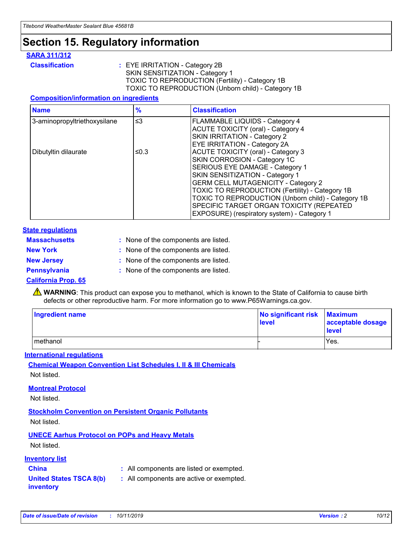## **Section 15. Regulatory information**

#### **SARA 311/312**

**Classification :** EYE IRRITATION - Category 2B SKIN SENSITIZATION - Category 1 TOXIC TO REPRODUCTION (Fertility) - Category 1B TOXIC TO REPRODUCTION (Unborn child) - Category 1B

#### **Composition/information on ingredients**

| <b>Name</b>                  | $\frac{9}{6}$ | <b>Classification</b>                                  |
|------------------------------|---------------|--------------------------------------------------------|
| 3-aminopropyltriethoxysilane | $\leq$ 3      | <b>FLAMMABLE LIQUIDS - Category 4</b>                  |
|                              |               | <b>ACUTE TOXICITY (oral) - Category 4</b>              |
|                              |               | SKIN IRRITATION - Category 2                           |
|                              |               | EYE IRRITATION - Category 2A                           |
| Dibutyltin dilaurate         | ≤0.3          | <b>ACUTE TOXICITY (oral) - Category 3</b>              |
|                              |               | SKIN CORROSION - Category 1C                           |
|                              |               | SERIOUS EYE DAMAGE - Category 1                        |
|                              |               | SKIN SENSITIZATION - Category 1                        |
|                              |               | <b>GERM CELL MUTAGENICITY - Category 2</b>             |
|                              |               | <b>TOXIC TO REPRODUCTION (Fertility) - Category 1B</b> |
|                              |               | TOXIC TO REPRODUCTION (Unborn child) - Category 1B     |
|                              |               | SPECIFIC TARGET ORGAN TOXICITY (REPEATED               |
|                              |               | EXPOSURE) (respiratory system) - Category 1            |

#### **State regulations**

| <b>Massachusetts</b> | : None of the components are listed. |
|----------------------|--------------------------------------|
| <b>New York</b>      | : None of the components are listed. |
| <b>New Jersey</b>    | : None of the components are listed. |
| Pennsylvania         | : None of the components are listed. |

#### **California Prop. 65**

**A** WARNING: This product can expose you to methanol, which is known to the State of California to cause birth defects or other reproductive harm. For more information go to www.P65Warnings.ca.gov.

| <b>Ingredient name</b> | No significant risk Maximum<br>level | acceptable dosage<br>level |
|------------------------|--------------------------------------|----------------------------|
| methanol               |                                      | Yes.                       |

#### **International regulations**

**Chemical Weapon Convention List Schedules I, II & III Chemicals** Not listed.

#### **Montreal Protocol**

Not listed.

**Stockholm Convention on Persistent Organic Pollutants**

Not listed.

### **UNECE Aarhus Protocol on POPs and Heavy Metals**

Not listed.

#### **Inventory list**

### **China :** All components are listed or exempted.

**United States TSCA 8(b) inventory :** All components are active or exempted.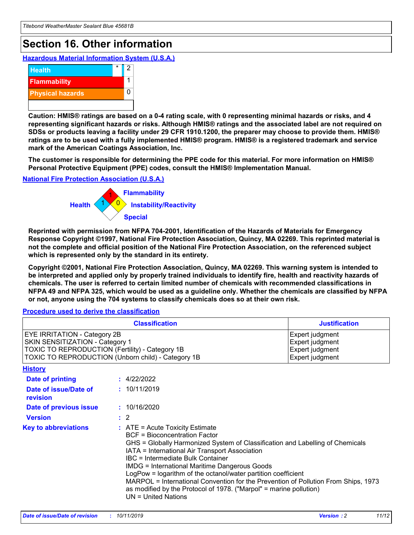## **Section 16. Other information**

**Hazardous Material Information System (U.S.A.)**



**Caution: HMIS® ratings are based on a 0-4 rating scale, with 0 representing minimal hazards or risks, and 4 representing significant hazards or risks. Although HMIS® ratings and the associated label are not required on SDSs or products leaving a facility under 29 CFR 1910.1200, the preparer may choose to provide them. HMIS® ratings are to be used with a fully implemented HMIS® program. HMIS® is a registered trademark and service mark of the American Coatings Association, Inc.**

**The customer is responsible for determining the PPE code for this material. For more information on HMIS® Personal Protective Equipment (PPE) codes, consult the HMIS® Implementation Manual.**

#### **National Fire Protection Association (U.S.A.)**



**Reprinted with permission from NFPA 704-2001, Identification of the Hazards of Materials for Emergency Response Copyright ©1997, National Fire Protection Association, Quincy, MA 02269. This reprinted material is not the complete and official position of the National Fire Protection Association, on the referenced subject which is represented only by the standard in its entirety.**

**Copyright ©2001, National Fire Protection Association, Quincy, MA 02269. This warning system is intended to be interpreted and applied only by properly trained individuals to identify fire, health and reactivity hazards of chemicals. The user is referred to certain limited number of chemicals with recommended classifications in NFPA 49 and NFPA 325, which would be used as a guideline only. Whether the chemicals are classified by NFPA or not, anyone using the 704 systems to classify chemicals does so at their own risk.**

#### **Procedure used to derive the classification**

| <b>Classification</b>                                                                                                                                                                  |                                                                                                                                                                                                                                                                   | <b>Justification</b>                                                                                                                                                                                                                                                                                       |  |
|----------------------------------------------------------------------------------------------------------------------------------------------------------------------------------------|-------------------------------------------------------------------------------------------------------------------------------------------------------------------------------------------------------------------------------------------------------------------|------------------------------------------------------------------------------------------------------------------------------------------------------------------------------------------------------------------------------------------------------------------------------------------------------------|--|
| <b>EYE IRRITATION - Category 2B</b><br>SKIN SENSITIZATION - Category 1<br><b>TOXIC TO REPRODUCTION (Fertility) - Category 1B</b><br>TOXIC TO REPRODUCTION (Unborn child) - Category 1B |                                                                                                                                                                                                                                                                   | Expert judgment<br>Expert judgment<br>Expert judgment<br>Expert judgment                                                                                                                                                                                                                                   |  |
| <b>History</b>                                                                                                                                                                         |                                                                                                                                                                                                                                                                   |                                                                                                                                                                                                                                                                                                            |  |
| Date of printing                                                                                                                                                                       | : 4/22/2022                                                                                                                                                                                                                                                       |                                                                                                                                                                                                                                                                                                            |  |
| Date of issue/Date of<br>revision                                                                                                                                                      | : 10/11/2019                                                                                                                                                                                                                                                      |                                                                                                                                                                                                                                                                                                            |  |
| Date of previous issue                                                                                                                                                                 | : 10/16/2020                                                                                                                                                                                                                                                      |                                                                                                                                                                                                                                                                                                            |  |
| <b>Version</b>                                                                                                                                                                         | $\therefore$ 2                                                                                                                                                                                                                                                    |                                                                                                                                                                                                                                                                                                            |  |
| <b>Key to abbreviations</b>                                                                                                                                                            | $\therefore$ ATE = Acute Toxicity Estimate<br><b>BCF</b> = Bioconcentration Factor<br>IATA = International Air Transport Association<br><b>IBC</b> = Intermediate Bulk Container<br><b>IMDG = International Maritime Dangerous Goods</b><br>$UN = United Nations$ | GHS = Globally Harmonized System of Classification and Labelling of Chemicals<br>LogPow = logarithm of the octanol/water partition coefficient<br>MARPOL = International Convention for the Prevention of Pollution From Ships, 1973<br>as modified by the Protocol of 1978. ("Marpol" = marine pollution) |  |